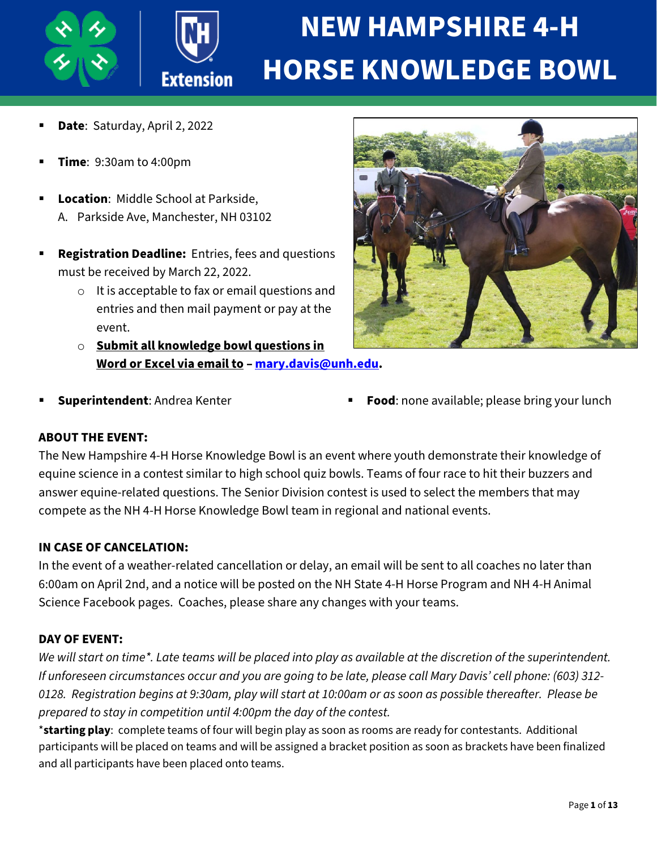

# **NEW HAMPSHIRE 4-H HORSE KNOWLEDGE BOWL**

- **Date**: Saturday, April 2, 2022
- **Time**: 9:30am to 4:00pm
- **Location**: Middle School at Parkside, A. Parkside Ave, Manchester, NH 03102
- **Registration Deadline:** Entries, fees and questions must be received by March 22, 2022.
	- o It is acceptable to fax or email questions and entries and then mail payment or pay at the event.
	- o **Submit all knowledge bowl questions in Word or Excel via email to – [mary.davis@unh.edu.](mailto:mary.davis@unh.edu)**



- 
- **Superintendent:** Andrea Kenter **Food: Food:** none available; please bring your lunch

#### **ABOUT THE EVENT:**

The New Hampshire 4-H Horse Knowledge Bowl is an event where youth demonstrate their knowledge of equine science in a contest similar to high school quiz bowls. Teams of four race to hit their buzzers and answer equine-related questions. The Senior Division contest is used to select the members that may compete as the NH 4-H Horse Knowledge Bowl team in regional and national events.

#### **IN CASE OF CANCELATION:**

In the event of a weather-related cancellation or delay, an email will be sent to all coaches no later than 6:00am on April 2nd, and a notice will be posted on the NH State 4-H Horse Program and NH 4-H Animal Science Facebook pages. Coaches, please share any changes with your teams.

#### **DAY OF EVENT:**

*We will start on time\*. Late teams will be placed into play as available at the discretion of the superintendent. If unforeseen circumstances occur and you are going to be late, please call Mary Davis' cell phone: (603) 312- 0128. Registration begins at 9:30am, play will start at 10:00am or as soon as possible thereafter. Please be prepared to stay in competition until 4:00pm the day of the contest.*

\***starting play**: complete teams of four will begin play as soon as rooms are ready for contestants. Additional participants will be placed on teams and will be assigned a bracket position as soon as brackets have been finalized and all participants have been placed onto teams.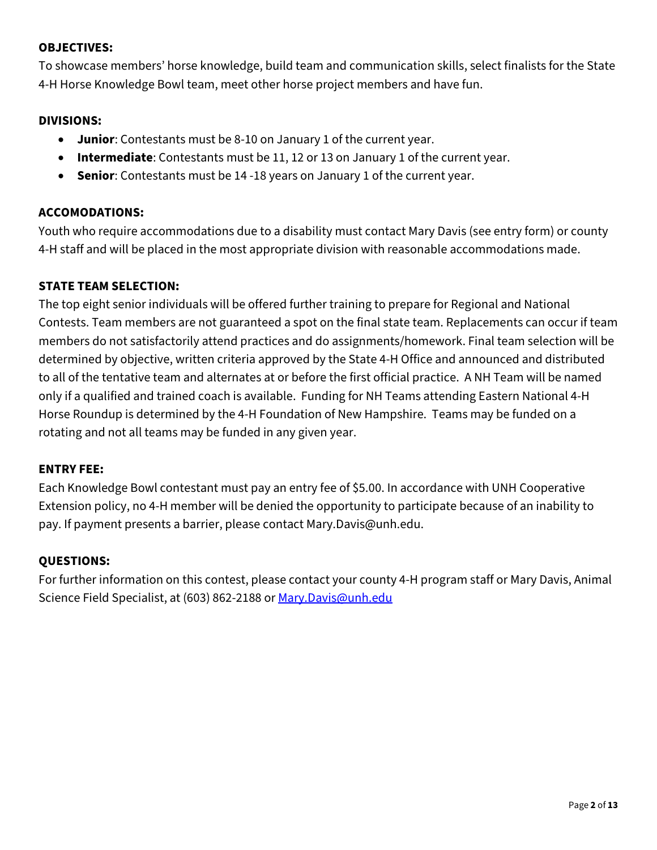#### **OBJECTIVES:**

To showcase members' horse knowledge, build team and communication skills, select finalists for the State 4-H Horse Knowledge Bowl team, meet other horse project members and have fun.

#### **DIVISIONS:**

- **Junior**: Contestants must be 8-10 on January 1 of the current year.
- **Intermediate**: Contestants must be 11, 12 or 13 on January 1 of the current year.
- **Senior**: Contestants must be 14 -18 years on January 1 of the current year.

#### **ACCOMODATIONS:**

Youth who require accommodations due to a disability must contact Mary Davis (see entry form) or county 4-H staff and will be placed in the most appropriate division with reasonable accommodations made.

#### **STATE TEAM SELECTION:**

The top eight senior individuals will be offered further training to prepare for Regional and National Contests. Team members are not guaranteed a spot on the final state team. Replacements can occur if team members do not satisfactorily attend practices and do assignments/homework. Final team selection will be determined by objective, written criteria approved by the State 4-H Office and announced and distributed to all of the tentative team and alternates at or before the first official practice. A NH Team will be named only if a qualified and trained coach is available. Funding for NH Teams attending Eastern National 4-H Horse Roundup is determined by the 4-H Foundation of New Hampshire. Teams may be funded on a rotating and not all teams may be funded in any given year.

#### **ENTRY FEE:**

Each Knowledge Bowl contestant must pay an entry fee of \$5.00. In accordance with UNH Cooperative Extension policy, no 4-H member will be denied the opportunity to participate because of an inability to pay. If payment presents a barrier, please contact Mary.Davis@unh.edu.

#### **QUESTIONS:**

For further information on this contest, please contact your county 4-H program staff or Mary Davis, Animal Science Field Specialist, at (603) 862-2188 or [Mary.Davis@unh.edu](mailto:Mary.Davis@unh.edu)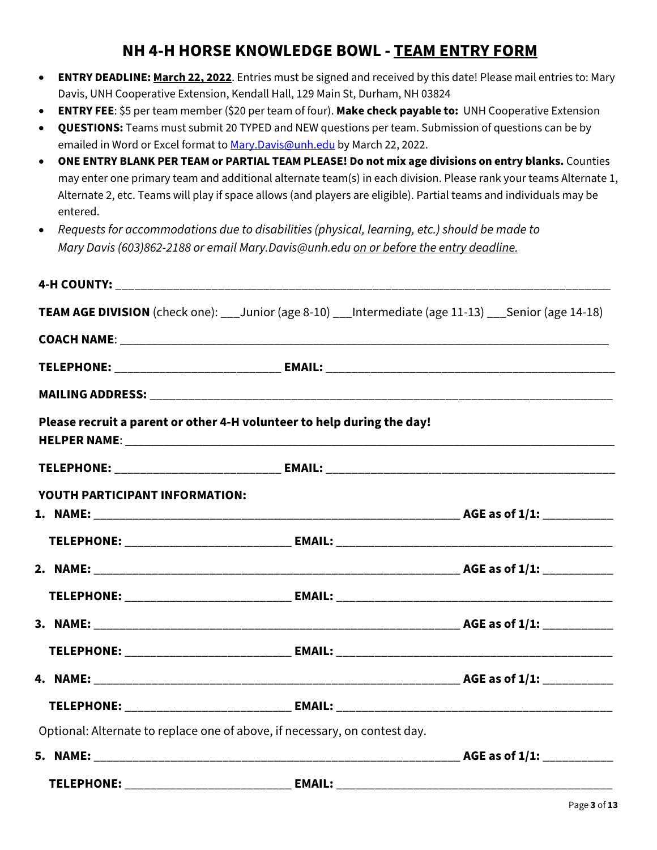# **NH 4-H HORSE KNOWLEDGE BOWL - TEAM ENTRY FORM**

- **ENTRY DEADLINE: March 22, 2022**. Entries must be signed and received by this date! Please mail entries to: Mary Davis, UNH Cooperative Extension, Kendall Hall, 129 Main St, Durham, NH 03824
- **ENTRY FEE**: \$5 per team member (\$20 per team of four). **Make check payable to:** UNH Cooperative Extension
- **QUESTIONS:** Teams must submit 20 TYPED and NEW questions per team. Submission of questions can be by emailed in Word or Excel format to Mary. Davis@unh.edu by March 22, 2022.
- **ONE ENTRY BLANK PER TEAM or PARTIAL TEAM PLEASE! Do not mix age divisions on entry blanks.** Counties may enter one primary team and additional alternate team(s) in each division. Please rank your teams Alternate 1, Alternate 2, etc. Teams will play if space allows (and players are eligible). Partial teams and individuals may be entered.
- *Requests for accommodations due to disabilities (physical, learning, etc.) should be made to Mary Davis (603)862-2188 or email Mary.Davis@unh.edu on or before the entry deadline.*

|                                                                            | TEAM AGE DIVISION (check one): ___ Junior (age 8-10) ___ Intermediate (age 11-13) ___ Senior (age 14-18) |
|----------------------------------------------------------------------------|----------------------------------------------------------------------------------------------------------|
|                                                                            |                                                                                                          |
|                                                                            |                                                                                                          |
|                                                                            |                                                                                                          |
| Please recruit a parent or other 4-H volunteer to help during the day!     |                                                                                                          |
|                                                                            |                                                                                                          |
| YOUTH PARTICIPANT INFORMATION:                                             |                                                                                                          |
|                                                                            |                                                                                                          |
|                                                                            |                                                                                                          |
|                                                                            |                                                                                                          |
|                                                                            |                                                                                                          |
|                                                                            |                                                                                                          |
|                                                                            |                                                                                                          |
|                                                                            |                                                                                                          |
|                                                                            |                                                                                                          |
| Optional: Alternate to replace one of above, if necessary, on contest day. |                                                                                                          |
|                                                                            |                                                                                                          |
|                                                                            |                                                                                                          |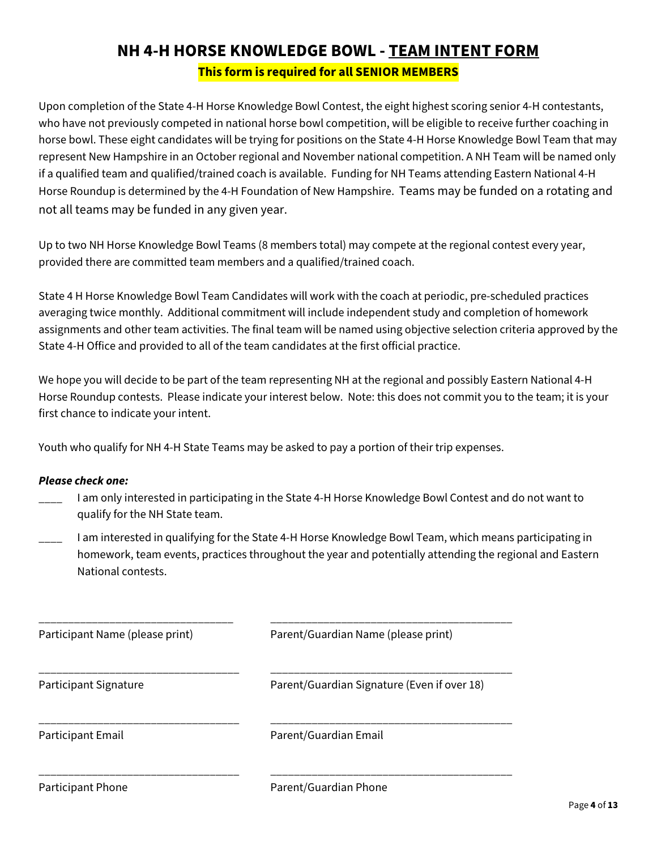# **NH 4-H HORSE KNOWLEDGE BOWL - TEAM INTENT FORM This form is required for all SENIOR MEMBERS**

Upon completion of the State 4-H Horse Knowledge Bowl Contest, the eight highest scoring senior 4-H contestants, who have not previously competed in national horse bowl competition, will be eligible to receive further coaching in horse bowl. These eight candidates will be trying for positions on the State 4-H Horse Knowledge Bowl Team that may represent New Hampshire in an October regional and November national competition. A NH Team will be named only if a qualified team and qualified/trained coach is available. Funding for NH Teams attending Eastern National 4-H Horse Roundup is determined by the 4-H Foundation of New Hampshire. Teams may be funded on a rotating and not all teams may be funded in any given year.

Up to two NH Horse Knowledge Bowl Teams (8 members total) may compete at the regional contest every year, provided there are committed team members and a qualified/trained coach.

State 4 H Horse Knowledge Bowl Team Candidates will work with the coach at periodic, pre-scheduled practices averaging twice monthly. Additional commitment will include independent study and completion of homework assignments and other team activities. The final team will be named using objective selection criteria approved by the State 4-H Office and provided to all of the team candidates at the first official practice.

We hope you will decide to be part of the team representing NH at the regional and possibly Eastern National 4-H Horse Roundup contests. Please indicate your interest below. Note: this does not commit you to the team; it is your first chance to indicate your intent.

Youth who qualify for NH 4-H State Teams may be asked to pay a portion of their trip expenses.

#### *Please check one:*

- \_\_\_\_ I am only interested in participating in the State 4-H Horse Knowledge Bowl Contest and do not want to qualify for the NH State team.
- \_\_\_\_ I am interested in qualifying for the State 4-H Horse Knowledge Bowl Team, which means participating in homework, team events, practices throughout the year and potentially attending the regional and Eastern National contests.

| Participant Name (please print) | Parent/Guardian Name (please print)         |  |  |
|---------------------------------|---------------------------------------------|--|--|
| Participant Signature           | Parent/Guardian Signature (Even if over 18) |  |  |
| Participant Email               | Parent/Guardian Email                       |  |  |
| Participant Phone               | Parent/Guardian Phone                       |  |  |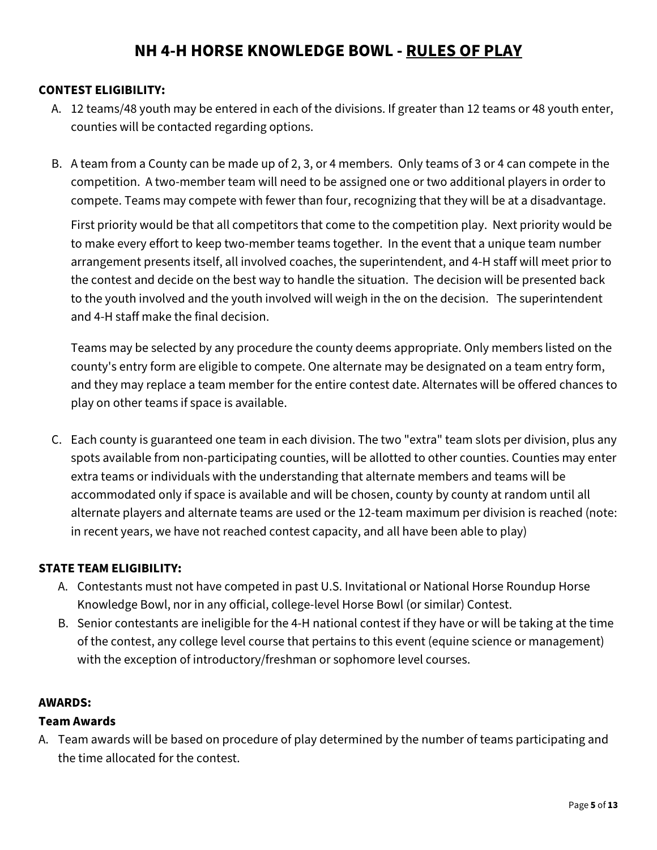# **NH 4-H HORSE KNOWLEDGE BOWL - RULES OF PLAY**

#### **CONTEST ELIGIBILITY:**

- A. 12 teams/48 youth may be entered in each of the divisions. If greater than 12 teams or 48 youth enter, counties will be contacted regarding options.
- B. A team from a County can be made up of 2, 3, or 4 members. Only teams of 3 or 4 can compete in the competition. A two-member team will need to be assigned one or two additional players in order to compete. Teams may compete with fewer than four, recognizing that they will be at a disadvantage.

First priority would be that all competitors that come to the competition play. Next priority would be to make every effort to keep two-member teams together. In the event that a unique team number arrangement presents itself, all involved coaches, the superintendent, and 4-H staff will meet prior to the contest and decide on the best way to handle the situation. The decision will be presented back to the youth involved and the youth involved will weigh in the on the decision. The superintendent and 4-H staff make the final decision.

Teams may be selected by any procedure the county deems appropriate. Only members listed on the county's entry form are eligible to compete. One alternate may be designated on a team entry form, and they may replace a team member for the entire contest date. Alternates will be offered chances to play on other teams if space is available.

C. Each county is guaranteed one team in each division. The two "extra" team slots per division, plus any spots available from non-participating counties, will be allotted to other counties. Counties may enter extra teams or individuals with the understanding that alternate members and teams will be accommodated only if space is available and will be chosen, county by county at random until all alternate players and alternate teams are used or the 12-team maximum per division is reached (note: in recent years, we have not reached contest capacity, and all have been able to play)

#### **STATE TEAM ELIGIBILITY:**

- A. Contestants must not have competed in past U.S. Invitational or National Horse Roundup Horse Knowledge Bowl, nor in any official, college-level Horse Bowl (or similar) Contest.
- B. Senior contestants are ineligible for the 4-H national contest if they have or will be taking at the time of the contest, any college level course that pertains to this event (equine science or management) with the exception of introductory/freshman or sophomore level courses.

#### **AWARDS:**

#### **Team Awards**

A. Team awards will be based on procedure of play determined by the number of teams participating and the time allocated for the contest.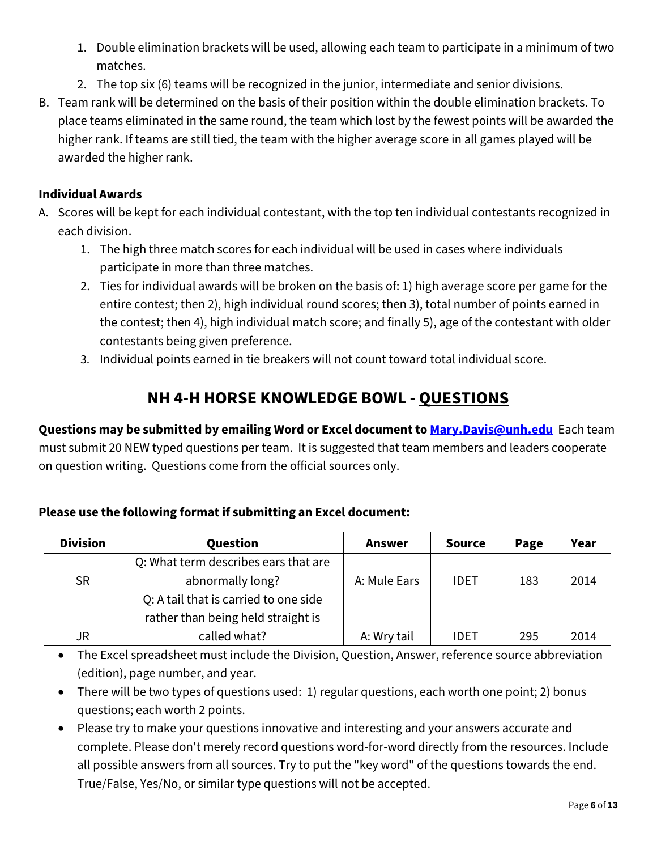- 1. Double elimination brackets will be used, allowing each team to participate in a minimum of two matches.
- 2. The top six (6) teams will be recognized in the junior, intermediate and senior divisions.
- B. Team rank will be determined on the basis of their position within the double elimination brackets. To place teams eliminated in the same round, the team which lost by the fewest points will be awarded the higher rank. If teams are still tied, the team with the higher average score in all games played will be awarded the higher rank.

## **Individual Awards**

- A. Scores will be kept for each individual contestant, with the top ten individual contestants recognized in each division.
	- 1. The high three match scores for each individual will be used in cases where individuals participate in more than three matches.
	- 2. Ties for individual awards will be broken on the basis of: 1) high average score per game for the entire contest; then 2), high individual round scores; then 3), total number of points earned in the contest; then 4), high individual match score; and finally 5), age of the contestant with older contestants being given preference.
	- 3. Individual points earned in tie breakers will not count toward total individual score.

# **NH 4-H HORSE KNOWLEDGE BOWL - QUESTIONS**

**Questions may be submitted by emailing Word or Excel document t[o Mary.Davis@unh.edu](mailto:Mary.Davis@unh.edu)** Each team must submit 20 NEW typed questions per team. It is suggested that team members and leaders cooperate on question writing. Questions come from the official sources only.

# **Please use the following format if submitting an Excel document:**

| <b>Division</b>                      | Question                              | Answer       | <b>Source</b> | Page | Year |
|--------------------------------------|---------------------------------------|--------------|---------------|------|------|
| Q: What term describes ears that are |                                       |              |               |      |      |
| <b>SR</b>                            | abnormally long?                      | A: Mule Ears | <b>IDET</b>   | 183  | 2014 |
|                                      | Q: A tail that is carried to one side |              |               |      |      |
|                                      | rather than being held straight is    |              |               |      |      |
| <b>JR</b>                            | called what?                          | A: Wry tail  | <b>IDET</b>   | 295  | 2014 |

• The Excel spreadsheet must include the Division, Question, Answer, reference source abbreviation (edition), page number, and year.

- There will be two types of questions used: 1) regular questions, each worth one point; 2) bonus questions; each worth 2 points.
- Please try to make your questions innovative and interesting and your answers accurate and complete. Please don't merely record questions word-for-word directly from the resources. Include all possible answers from all sources. Try to put the "key word" of the questions towards the end. True/False, Yes/No, or similar type questions will not be accepted.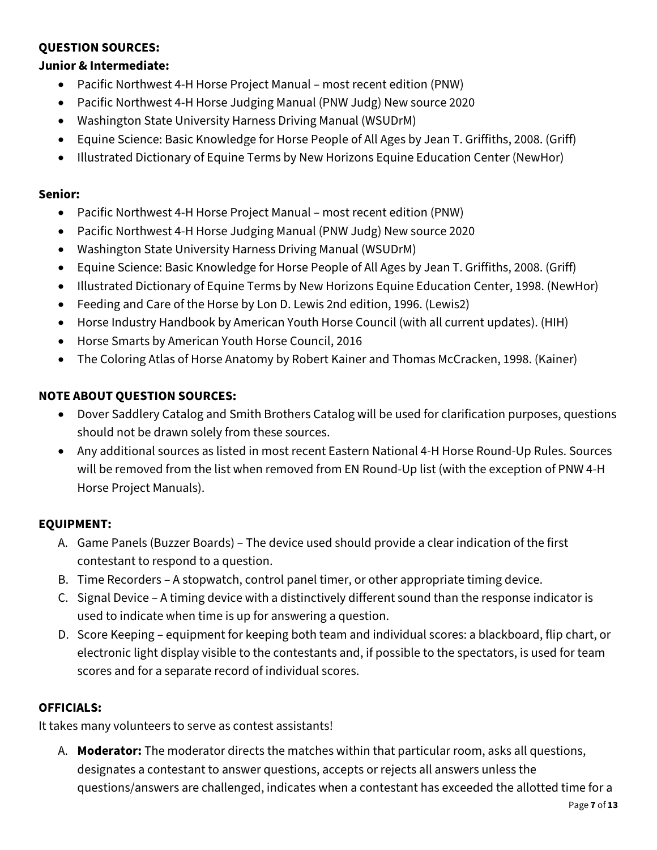#### **QUESTION SOURCES:**

#### **Junior & Intermediate:**

- Pacific Northwest 4-H Horse Project Manual most recent edition (PNW)
- Pacific Northwest 4-H Horse Judging Manual (PNW Judg) New source 2020
- Washington State University Harness Driving Manual (WSUDrM)
- Equine Science: Basic Knowledge for Horse People of All Ages by Jean T. Griffiths, 2008. (Griff)
- Illustrated Dictionary of Equine Terms by New Horizons Equine Education Center (NewHor)

#### **Senior:**

- Pacific Northwest 4-H Horse Project Manual most recent edition (PNW)
- Pacific Northwest 4-H Horse Judging Manual (PNW Judg) New source 2020
- Washington State University Harness Driving Manual (WSUDrM)
- Equine Science: Basic Knowledge for Horse People of All Ages by Jean T. Griffiths, 2008. (Griff)
- Illustrated Dictionary of Equine Terms by New Horizons Equine Education Center, 1998. (NewHor)
- Feeding and Care of the Horse by Lon D. Lewis 2nd edition, 1996. (Lewis2)
- Horse Industry Handbook by American Youth Horse Council (with all current updates). (HIH)
- Horse Smarts by American Youth Horse Council, 2016
- The Coloring Atlas of Horse Anatomy by Robert Kainer and Thomas McCracken, 1998. (Kainer)

## **NOTE ABOUT QUESTION SOURCES:**

- Dover Saddlery Catalog and Smith Brothers Catalog will be used for clarification purposes, questions should not be drawn solely from these sources.
- Any additional sources as listed in most recent Eastern National 4-H Horse Round-Up Rules. Sources will be removed from the list when removed from EN Round-Up list (with the exception of PNW 4-H Horse Project Manuals).

#### **EQUIPMENT:**

- A. Game Panels (Buzzer Boards) The device used should provide a clear indication of the first contestant to respond to a question.
- B. Time Recorders A stopwatch, control panel timer, or other appropriate timing device.
- C. Signal Device A timing device with a distinctively different sound than the response indicator is used to indicate when time is up for answering a question.
- D. Score Keeping equipment for keeping both team and individual scores: a blackboard, flip chart, or electronic light display visible to the contestants and, if possible to the spectators, is used for team scores and for a separate record of individual scores.

#### **OFFICIALS:**

It takes many volunteers to serve as contest assistants!

A. **Moderator:** The moderator directs the matches within that particular room, asks all questions, designates a contestant to answer questions, accepts or rejects all answers unless the questions/answers are challenged, indicates when a contestant has exceeded the allotted time for a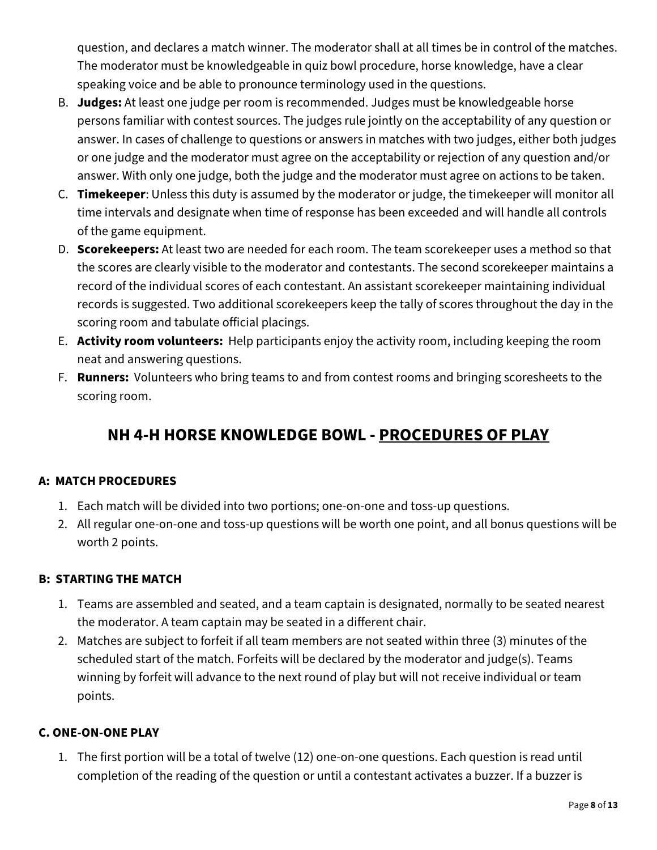question, and declares a match winner. The moderator shall at all times be in control of the matches. The moderator must be knowledgeable in quiz bowl procedure, horse knowledge, have a clear speaking voice and be able to pronounce terminology used in the questions.

- B. **Judges:** At least one judge per room is recommended. Judges must be knowledgeable horse persons familiar with contest sources. The judges rule jointly on the acceptability of any question or answer. In cases of challenge to questions or answers in matches with two judges, either both judges or one judge and the moderator must agree on the acceptability or rejection of any question and/or answer. With only one judge, both the judge and the moderator must agree on actions to be taken.
- C. **Timekeeper**: Unless this duty is assumed by the moderator or judge, the timekeeper will monitor all time intervals and designate when time of response has been exceeded and will handle all controls of the game equipment.
- D. **Scorekeepers:** At least two are needed for each room. The team scorekeeper uses a method so that the scores are clearly visible to the moderator and contestants. The second scorekeeper maintains a record of the individual scores of each contestant. An assistant scorekeeper maintaining individual records is suggested. Two additional scorekeepers keep the tally of scores throughout the day in the scoring room and tabulate official placings.
- E. **Activity room volunteers:** Help participants enjoy the activity room, including keeping the room neat and answering questions.
- F. **Runners:** Volunteers who bring teams to and from contest rooms and bringing scoresheets to the scoring room.

# **NH 4-H HORSE KNOWLEDGE BOWL - PROCEDURES OF PLAY**

#### **A: MATCH PROCEDURES**

- 1. Each match will be divided into two portions; one-on-one and toss-up questions.
- 2. All regular one-on-one and toss-up questions will be worth one point, and all bonus questions will be worth 2 points.

#### **B: STARTING THE MATCH**

- 1. Teams are assembled and seated, and a team captain is designated, normally to be seated nearest the moderator. A team captain may be seated in a different chair.
- 2. Matches are subject to forfeit if all team members are not seated within three (3) minutes of the scheduled start of the match. Forfeits will be declared by the moderator and judge(s). Teams winning by forfeit will advance to the next round of play but will not receive individual or team points.

#### **C. ONE-ON-ONE PLAY**

1. The first portion will be a total of twelve (12) one-on-one questions. Each question is read until completion of the reading of the question or until a contestant activates a buzzer. If a buzzer is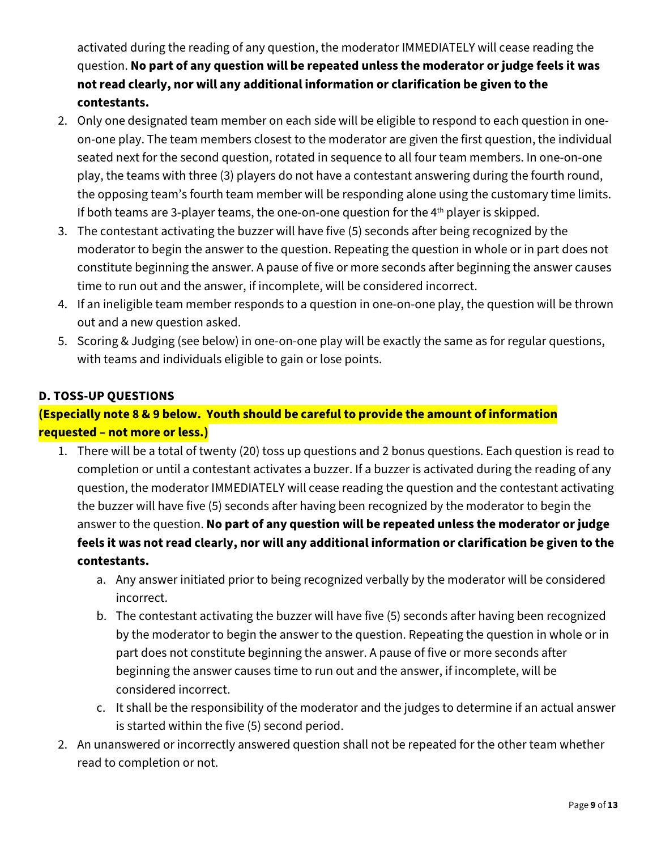activated during the reading of any question, the moderator IMMEDIATELY will cease reading the question. **No part of any question will be repeated unless the moderator or judge feels it was not read clearly, nor will any additional information or clarification be given to the contestants.**

- 2. Only one designated team member on each side will be eligible to respond to each question in oneon-one play. The team members closest to the moderator are given the first question, the individual seated next for the second question, rotated in sequence to all four team members. In one-on-one play, the teams with three (3) players do not have a contestant answering during the fourth round, the opposing team's fourth team member will be responding alone using the customary time limits. If both teams are 3-player teams, the one-on-one question for the  $4<sup>th</sup>$  player is skipped.
- 3. The contestant activating the buzzer will have five (5) seconds after being recognized by the moderator to begin the answer to the question. Repeating the question in whole or in part does not constitute beginning the answer. A pause of five or more seconds after beginning the answer causes time to run out and the answer, if incomplete, will be considered incorrect.
- 4. If an ineligible team member responds to a question in one-on-one play, the question will be thrown out and a new question asked.
- 5. Scoring & Judging (see below) in one-on-one play will be exactly the same as for regular questions, with teams and individuals eligible to gain or lose points.

### **D. TOSS-UP QUESTIONS**

## **(Especially note 8 & 9 below. Youth should be careful to provide the amount of information requested – not more or less.)**

- 1. There will be a total of twenty (20) toss up questions and 2 bonus questions. Each question is read to completion or until a contestant activates a buzzer. If a buzzer is activated during the reading of any question, the moderator IMMEDIATELY will cease reading the question and the contestant activating the buzzer will have five (5) seconds after having been recognized by the moderator to begin the answer to the question. **No part of any question will be repeated unless the moderator or judge feels it was not read clearly, nor will any additional information or clarification be given to the contestants.**
	- a. Any answer initiated prior to being recognized verbally by the moderator will be considered incorrect.
	- b. The contestant activating the buzzer will have five (5) seconds after having been recognized by the moderator to begin the answer to the question. Repeating the question in whole or in part does not constitute beginning the answer. A pause of five or more seconds after beginning the answer causes time to run out and the answer, if incomplete, will be considered incorrect.
	- c. It shall be the responsibility of the moderator and the judges to determine if an actual answer is started within the five (5) second period.
- 2. An unanswered or incorrectly answered question shall not be repeated for the other team whether read to completion or not.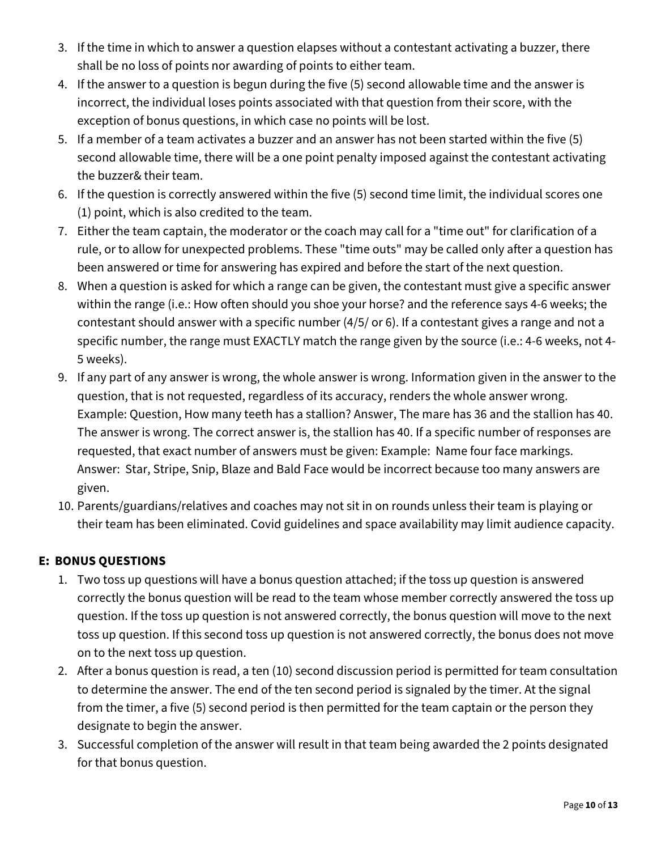- 3. If the time in which to answer a question elapses without a contestant activating a buzzer, there shall be no loss of points nor awarding of points to either team.
- 4. If the answer to a question is begun during the five (5) second allowable time and the answer is incorrect, the individual loses points associated with that question from their score, with the exception of bonus questions, in which case no points will be lost.
- 5. If a member of a team activates a buzzer and an answer has not been started within the five (5) second allowable time, there will be a one point penalty imposed against the contestant activating the buzzer& their team.
- 6. If the question is correctly answered within the five (5) second time limit, the individual scores one (1) point, which is also credited to the team.
- 7. Either the team captain, the moderator or the coach may call for a "time out" for clarification of a rule, or to allow for unexpected problems. These "time outs" may be called only after a question has been answered or time for answering has expired and before the start of the next question.
- 8. When a question is asked for which a range can be given, the contestant must give a specific answer within the range (i.e.: How often should you shoe your horse? and the reference says 4-6 weeks; the contestant should answer with a specific number (4/5/ or 6). If a contestant gives a range and not a specific number, the range must EXACTLY match the range given by the source (i.e.: 4-6 weeks, not 4- 5 weeks).
- 9. If any part of any answer is wrong, the whole answer is wrong. Information given in the answer to the question, that is not requested, regardless of its accuracy, renders the whole answer wrong. Example: Question, How many teeth has a stallion? Answer, The mare has 36 and the stallion has 40. The answer is wrong. The correct answer is, the stallion has 40. If a specific number of responses are requested, that exact number of answers must be given: Example: Name four face markings. Answer: Star, Stripe, Snip, Blaze and Bald Face would be incorrect because too many answers are given.
- 10. Parents/guardians/relatives and coaches may not sit in on rounds unless their team is playing or their team has been eliminated. Covid guidelines and space availability may limit audience capacity.

## **E: BONUS QUESTIONS**

- 1. Two toss up questions will have a bonus question attached; if the toss up question is answered correctly the bonus question will be read to the team whose member correctly answered the toss up question. If the toss up question is not answered correctly, the bonus question will move to the next toss up question. If this second toss up question is not answered correctly, the bonus does not move on to the next toss up question.
- 2. After a bonus question is read, a ten (10) second discussion period is permitted for team consultation to determine the answer. The end of the ten second period is signaled by the timer. At the signal from the timer, a five (5) second period is then permitted for the team captain or the person they designate to begin the answer.
- 3. Successful completion of the answer will result in that team being awarded the 2 points designated for that bonus question.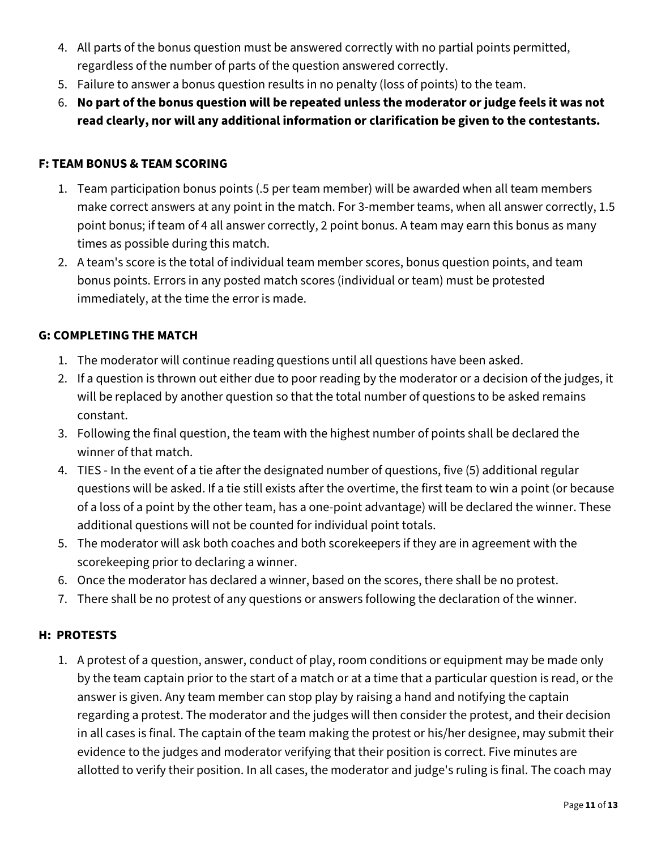- 4. All parts of the bonus question must be answered correctly with no partial points permitted, regardless of the number of parts of the question answered correctly.
- 5. Failure to answer a bonus question results in no penalty (loss of points) to the team.
- 6. **No part of the bonus question will be repeated unless the moderator or judge feels it was not read clearly, nor will any additional information or clarification be given to the contestants.**

#### **F: TEAM BONUS & TEAM SCORING**

- 1. Team participation bonus points (.5 per team member) will be awarded when all team members make correct answers at any point in the match. For 3-member teams, when all answer correctly, 1.5 point bonus; if team of 4 all answer correctly, 2 point bonus. A team may earn this bonus as many times as possible during this match.
- 2. A team's score is the total of individual team member scores, bonus question points, and team bonus points. Errors in any posted match scores (individual or team) must be protested immediately, at the time the error is made.

#### **G: COMPLETING THE MATCH**

- 1. The moderator will continue reading questions until all questions have been asked.
- 2. If a question is thrown out either due to poor reading by the moderator or a decision of the judges, it will be replaced by another question so that the total number of questions to be asked remains constant.
- 3. Following the final question, the team with the highest number of points shall be declared the winner of that match.
- 4. TIES In the event of a tie after the designated number of questions, five (5) additional regular questions will be asked. If a tie still exists after the overtime, the first team to win a point (or because of a loss of a point by the other team, has a one-point advantage) will be declared the winner. These additional questions will not be counted for individual point totals.
- 5. The moderator will ask both coaches and both scorekeepers if they are in agreement with the scorekeeping prior to declaring a winner.
- 6. Once the moderator has declared a winner, based on the scores, there shall be no protest.
- 7. There shall be no protest of any questions or answers following the declaration of the winner.

#### **H: PROTESTS**

1. A protest of a question, answer, conduct of play, room conditions or equipment may be made only by the team captain prior to the start of a match or at a time that a particular question is read, or the answer is given. Any team member can stop play by raising a hand and notifying the captain regarding a protest. The moderator and the judges will then consider the protest, and their decision in all cases is final. The captain of the team making the protest or his/her designee, may submit their evidence to the judges and moderator verifying that their position is correct. Five minutes are allotted to verify their position. In all cases, the moderator and judge's ruling is final. The coach may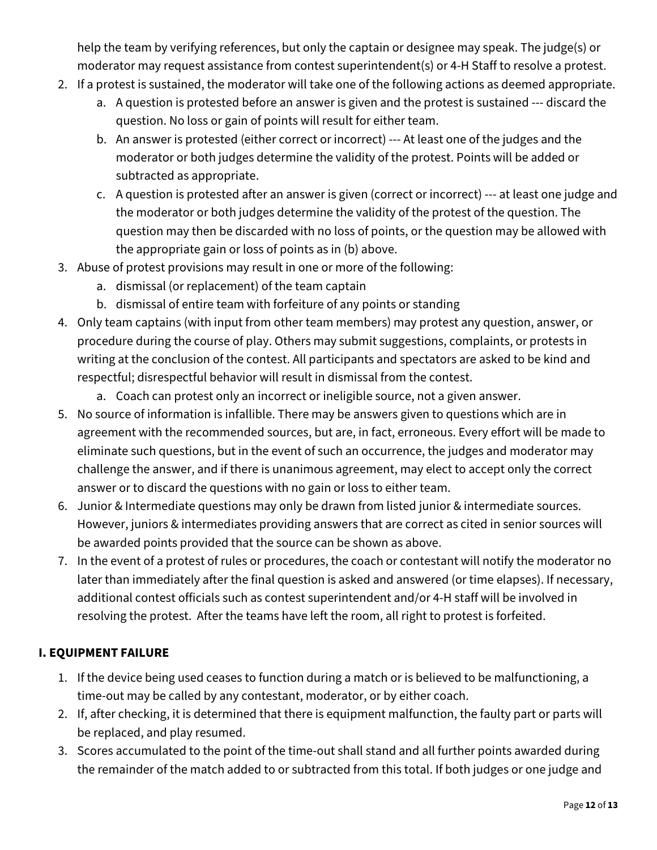help the team by verifying references, but only the captain or designee may speak. The judge(s) or moderator may request assistance from contest superintendent(s) or 4-H Staff to resolve a protest.

- 2. If a protest is sustained, the moderator will take one of the following actions as deemed appropriate.
	- a. A question is protested before an answer is given and the protest is sustained --- discard the question. No loss or gain of points will result for either team.
	- b. An answer is protested (either correct or incorrect) --- At least one of the judges and the moderator or both judges determine the validity of the protest. Points will be added or subtracted as appropriate.
	- c. A question is protested after an answer is given (correct or incorrect) --- at least one judge and the moderator or both judges determine the validity of the protest of the question. The question may then be discarded with no loss of points, or the question may be allowed with the appropriate gain or loss of points as in (b) above.
- 3. Abuse of protest provisions may result in one or more of the following:
	- a. dismissal (or replacement) of the team captain
	- b. dismissal of entire team with forfeiture of any points or standing
- 4. Only team captains (with input from other team members) may protest any question, answer, or procedure during the course of play. Others may submit suggestions, complaints, or protests in writing at the conclusion of the contest. All participants and spectators are asked to be kind and respectful; disrespectful behavior will result in dismissal from the contest.
	- a. Coach can protest only an incorrect or ineligible source, not a given answer.
- 5. No source of information is infallible. There may be answers given to questions which are in agreement with the recommended sources, but are, in fact, erroneous. Every effort will be made to eliminate such questions, but in the event of such an occurrence, the judges and moderator may challenge the answer, and if there is unanimous agreement, may elect to accept only the correct answer or to discard the questions with no gain or loss to either team.
- 6. Junior & Intermediate questions may only be drawn from listed junior & intermediate sources. However, juniors & intermediates providing answers that are correct as cited in senior sources will be awarded points provided that the source can be shown as above.
- 7. In the event of a protest of rules or procedures, the coach or contestant will notify the moderator no later than immediately after the final question is asked and answered (or time elapses). If necessary, additional contest officials such as contest superintendent and/or 4-H staff will be involved in resolving the protest. After the teams have left the room, all right to protest is forfeited.

## **I. EQUIPMENT FAILURE**

- 1. If the device being used ceases to function during a match or is believed to be malfunctioning, a time-out may be called by any contestant, moderator, or by either coach.
- 2. If, after checking, it is determined that there is equipment malfunction, the faulty part or parts will be replaced, and play resumed.
- 3. Scores accumulated to the point of the time-out shall stand and all further points awarded during the remainder of the match added to or subtracted from this total. If both judges or one judge and